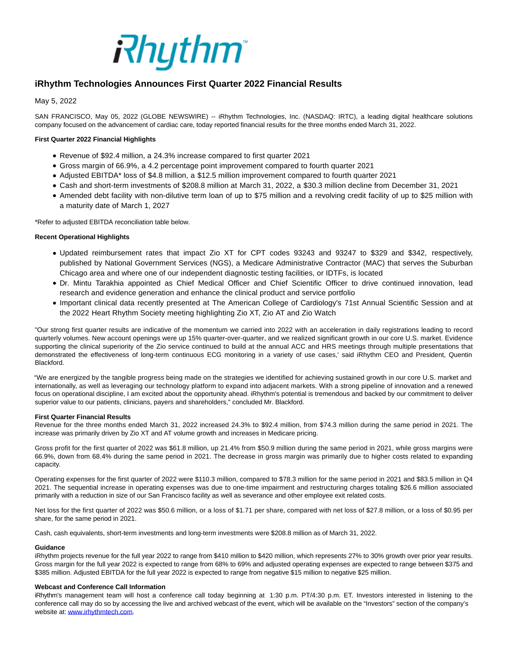

# **iRhythm Technologies Announces First Quarter 2022 Financial Results**

# May 5, 2022

SAN FRANCISCO, May 05, 2022 (GLOBE NEWSWIRE) -- iRhythm Technologies, Inc. (NASDAQ: IRTC), a leading digital healthcare solutions company focused on the advancement of cardiac care, today reported financial results for the three months ended March 31, 2022.

# **First Quarter 2022 Financial Highlights**

- Revenue of \$92.4 million, a 24.3% increase compared to first quarter 2021
- Gross margin of 66.9%, a 4.2 percentage point improvement compared to fourth quarter 2021
- Adjusted EBITDA\* loss of \$4.8 million, a \$12.5 million improvement compared to fourth quarter 2021
- Cash and short-term investments of \$208.8 million at March 31, 2022, a \$30.3 million decline from December 31, 2021
- Amended debt facility with non-dilutive term loan of up to \$75 million and a revolving credit facility of up to \$25 million with a maturity date of March 1, 2027

\*Refer to adjusted EBITDA reconciliation table below.

## **Recent Operational Highlights**

- Updated reimbursement rates that impact Zio XT for CPT codes 93243 and 93247 to \$329 and \$342, respectively, published by National Government Services (NGS), a Medicare Administrative Contractor (MAC) that serves the Suburban Chicago area and where one of our independent diagnostic testing facilities, or IDTFs, is located
- Dr. Mintu Tarakhia appointed as Chief Medical Officer and Chief Scientific Officer to drive continued innovation, lead research and evidence generation and enhance the clinical product and service portfolio
- Important clinical data recently presented at The American College of Cardiology's 71st Annual Scientific Session and at the 2022 Heart Rhythm Society meeting highlighting Zio XT, Zio AT and Zio Watch

"Our strong first quarter results are indicative of the momentum we carried into 2022 with an acceleration in daily registrations leading to record quarterly volumes. New account openings were up 15% quarter-over-quarter, and we realized significant growth in our core U.S. market. Evidence supporting the clinical superiority of the Zio service continued to build at the annual ACC and HRS meetings through multiple presentations that demonstrated the effectiveness of long-term continuous ECG monitoring in a variety of use cases,' said iRhythm CEO and President, Quentin Blackford.

"We are energized by the tangible progress being made on the strategies we identified for achieving sustained growth in our core U.S. market and internationally, as well as leveraging our technology platform to expand into adjacent markets. With a strong pipeline of innovation and a renewed focus on operational discipline, I am excited about the opportunity ahead. iRhythm's potential is tremendous and backed by our commitment to deliver superior value to our patients, clinicians, payers and shareholders," concluded Mr. Blackford.

### **First Quarter Financial Results**

Revenue for the three months ended March 31, 2022 increased 24.3% to \$92.4 million, from \$74.3 million during the same period in 2021. The increase was primarily driven by Zio XT and AT volume growth and increases in Medicare pricing.

Gross profit for the first quarter of 2022 was \$61.8 million, up 21.4% from \$50.9 million during the same period in 2021, while gross margins were 66.9%, down from 68.4% during the same period in 2021. The decrease in gross margin was primarily due to higher costs related to expanding capacity.

Operating expenses for the first quarter of 2022 were \$110.3 million, compared to \$78.3 million for the same period in 2021 and \$83.5 million in Q4 2021. The sequential increase in operating expenses was due to one-time impairment and restructuring charges totaling \$26.6 million associated primarily with a reduction in size of our San Francisco facility as well as severance and other employee exit related costs.

Net loss for the first quarter of 2022 was \$50.6 million, or a loss of \$1.71 per share, compared with net loss of \$27.8 million, or a loss of \$0.95 per share, for the same period in 2021.

Cash, cash equivalents, short-term investments and long-term investments were \$208.8 million as of March 31, 2022.

### **Guidance**

iRhythm projects revenue for the full year 2022 to range from \$410 million to \$420 million, which represents 27% to 30% growth over prior year results. Gross margin for the full year 2022 is expected to range from 68% to 69% and adjusted operating expenses are expected to range between \$375 and \$385 million. Adjusted EBITDA for the full year 2022 is expected to range from negative \$15 million to negative \$25 million.

### **Webcast and Conference Call Information**

iRhythm's management team will host a conference call today beginning at 1:30 p.m. PT/4:30 p.m. ET. Investors interested in listening to the conference call may do so by accessing the live and archived webcast of the event, which will be available on the "Investors" section of the company's website at[: www.irhythmtech.com.](http://www.irhythmtech.com/)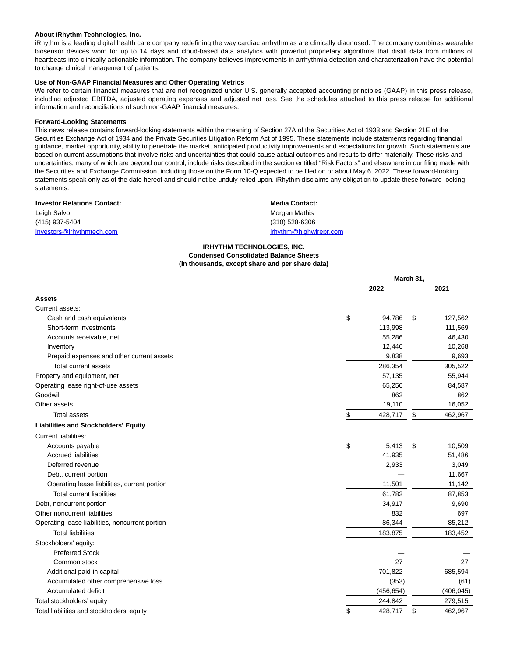#### **About iRhythm Technologies, Inc.**

iRhythm is a leading digital health care company redefining the way cardiac arrhythmias are clinically diagnosed. The company combines wearable biosensor devices worn for up to 14 days and cloud-based data analytics with powerful proprietary algorithms that distill data from millions of heartbeats into clinically actionable information. The company believes improvements in arrhythmia detection and characterization have the potential to change clinical management of patients.

## **Use of Non-GAAP Financial Measures and Other Operating Metrics**

We refer to certain financial measures that are not recognized under U.S. generally accepted accounting principles (GAAP) in this press release, including adjusted EBITDA, adjusted operating expenses and adjusted net loss. See the schedules attached to this press release for additional information and reconciliations of such non-GAAP financial measures.

#### **Forward-Looking Statements**

This news release contains forward-looking statements within the meaning of Section 27A of the Securities Act of 1933 and Section 21E of the Securities Exchange Act of 1934 and the Private Securities Litigation Reform Act of 1995. These statements include statements regarding financial guidance, market opportunity, ability to penetrate the market, anticipated productivity improvements and expectations for growth. Such statements are based on current assumptions that involve risks and uncertainties that could cause actual outcomes and results to differ materially. These risks and uncertainties, many of which are beyond our control, include risks described in the section entitled "Risk Factors" and elsewhere in our filing made with the Securities and Exchange Commission, including those on the Form 10-Q expected to be filed on or about May 6, 2022. These forward-looking statements speak only as of the date hereof and should not be unduly relied upon. iRhythm disclaims any obligation to update these forward-looking statements.

| <b>Investor Relations Contact:</b> | <b>Media Contact:</b>  |
|------------------------------------|------------------------|
| Leigh Salvo                        | Morgan Mathis          |
| (415) 937-5404                     | (310) 528-6306         |
| investors@irhythmtech.com          | irhythm@highwirepr.com |

#### **IRHYTHM TECHNOLOGIES, INC. Condensed Consolidated Balance Sheets (In thousands, except share and per share data)**

|                                                 | March 31, |            |    |            |
|-------------------------------------------------|-----------|------------|----|------------|
|                                                 |           | 2022       |    | 2021       |
| <b>Assets</b>                                   |           |            |    |            |
| Current assets:                                 |           |            |    |            |
| Cash and cash equivalents                       | \$        | 94,786     | \$ | 127,562    |
| Short-term investments                          |           | 113,998    |    | 111,569    |
| Accounts receivable, net                        |           | 55,286     |    | 46,430     |
| Inventory                                       |           | 12,446     |    | 10,268     |
| Prepaid expenses and other current assets       |           | 9,838      |    | 9,693      |
| Total current assets                            |           | 286,354    |    | 305,522    |
| Property and equipment, net                     |           | 57,135     |    | 55,944     |
| Operating lease right-of-use assets             |           | 65,256     |    | 84,587     |
| Goodwill                                        |           | 862        |    | 862        |
| Other assets                                    |           | 19,110     |    | 16,052     |
| <b>Total assets</b>                             | \$        | 428,717    | \$ | 462,967    |
| <b>Liabilities and Stockholders' Equity</b>     |           |            |    |            |
| <b>Current liabilities:</b>                     |           |            |    |            |
| Accounts payable                                | \$        | 5,413      | \$ | 10,509     |
| <b>Accrued liabilities</b>                      |           | 41,935     |    | 51,486     |
| Deferred revenue                                |           | 2,933      |    | 3,049      |
| Debt, current portion                           |           |            |    | 11,667     |
| Operating lease liabilities, current portion    |           | 11,501     |    | 11,142     |
| <b>Total current liabilities</b>                |           | 61,782     |    | 87,853     |
| Debt, noncurrent portion                        |           | 34,917     |    | 9,690      |
| Other noncurrent liabilities                    |           | 832        |    | 697        |
| Operating lease liabilities, noncurrent portion |           | 86,344     |    | 85,212     |
| <b>Total liabilities</b>                        |           | 183,875    |    | 183,452    |
| Stockholders' equity:                           |           |            |    |            |
| <b>Preferred Stock</b>                          |           |            |    |            |
| Common stock                                    |           | 27         |    | 27         |
| Additional paid-in capital                      |           | 701,822    |    | 685,594    |
| Accumulated other comprehensive loss            |           | (353)      |    | (61)       |
| Accumulated deficit                             |           | (456, 654) |    | (406, 045) |
| Total stockholders' equity                      |           | 244,842    |    | 279,515    |
| Total liabilities and stockholders' equity      | \$        | 428,717    | \$ | 462,967    |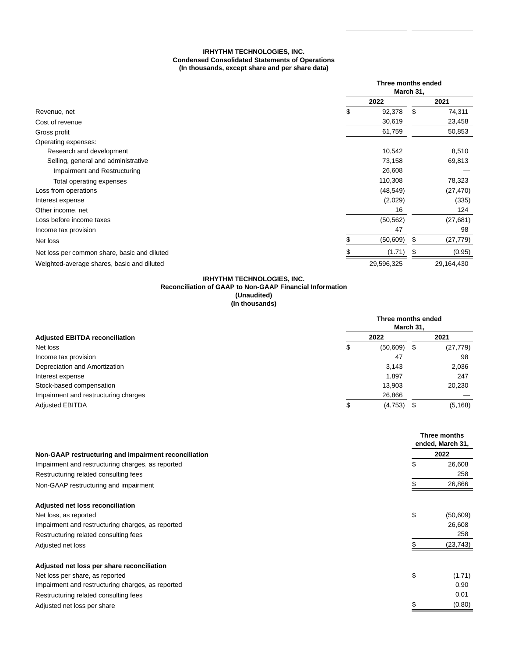# **IRHYTHM TECHNOLOGIES, INC. Condensed Consolidated Statements of Operations (In thousands, except share and per share data)**

|                                              | Three months ended<br>March 31, |    |            |  |
|----------------------------------------------|---------------------------------|----|------------|--|
|                                              | 2022                            |    | 2021       |  |
| Revenue, net                                 | \$<br>92,378                    | \$ | 74,311     |  |
| Cost of revenue                              | 30,619                          |    | 23,458     |  |
| Gross profit                                 | 61,759                          |    | 50,853     |  |
| Operating expenses:                          |                                 |    |            |  |
| Research and development                     | 10,542                          |    | 8,510      |  |
| Selling, general and administrative          | 73,158                          |    | 69,813     |  |
| Impairment and Restructuring                 | 26,608                          |    |            |  |
| Total operating expenses                     | 110,308                         |    | 78,323     |  |
| Loss from operations                         | (48, 549)                       |    | (27, 470)  |  |
| Interest expense                             | (2,029)                         |    | (335)      |  |
| Other income, net                            | 16                              |    | 124        |  |
| Loss before income taxes                     | (50, 562)                       |    | (27, 681)  |  |
| Income tax provision                         | 47                              |    | 98         |  |
| Net loss                                     | (50, 609)                       |    | (27, 779)  |  |
| Net loss per common share, basic and diluted | (1.71)                          |    | (0.95)     |  |
| Weighted-average shares, basic and diluted   | 29,596,325                      |    | 29,164,430 |  |

### **IRHYTHM TECHNOLOGIES, INC. Reconciliation of GAAP to Non-GAAP Financial Information (Unaudited) (In thousands)**

|                                       | Three months ended<br>March 31. |               |  |           |
|---------------------------------------|---------------------------------|---------------|--|-----------|
| <b>Adjusted EBITDA reconciliation</b> |                                 | 2022          |  | 2021      |
| Net loss                              | \$                              | $(50,609)$ \$ |  | (27, 779) |
| Income tax provision                  |                                 | 47            |  | 98        |
| Depreciation and Amortization         |                                 | 3,143         |  | 2,036     |
| Interest expense                      |                                 | 1,897         |  | 247       |
| Stock-based compensation              |                                 | 13,903        |  | 20,230    |
| Impairment and restructuring charges  |                                 | 26,866        |  |           |
| <b>Adjusted EBITDA</b>                | \$                              | $(4,753)$ \$  |  | (5, 168)  |

|                                                      | Three months<br>ended, March 31,<br>2022 |           |
|------------------------------------------------------|------------------------------------------|-----------|
| Non-GAAP restructuring and impairment reconciliation |                                          |           |
| Impairment and restructuring charges, as reported    | \$                                       | 26,608    |
| Restructuring related consulting fees                |                                          | 258       |
| Non-GAAP restructuring and impairment                |                                          | 26,866    |
| Adjusted net loss reconciliation                     |                                          |           |
| Net loss, as reported                                | \$                                       | (50, 609) |
| Impairment and restructuring charges, as reported    |                                          | 26,608    |
| Restructuring related consulting fees                |                                          | 258       |
| Adjusted net loss                                    |                                          | (23, 743) |
| Adjusted net loss per share reconciliation           |                                          |           |
| Net loss per share, as reported                      | \$                                       | (1.71)    |
| Impairment and restructuring charges, as reported    |                                          | 0.90      |
| Restructuring related consulting fees                |                                          | 0.01      |
| Adjusted net loss per share                          |                                          | (0.80)    |